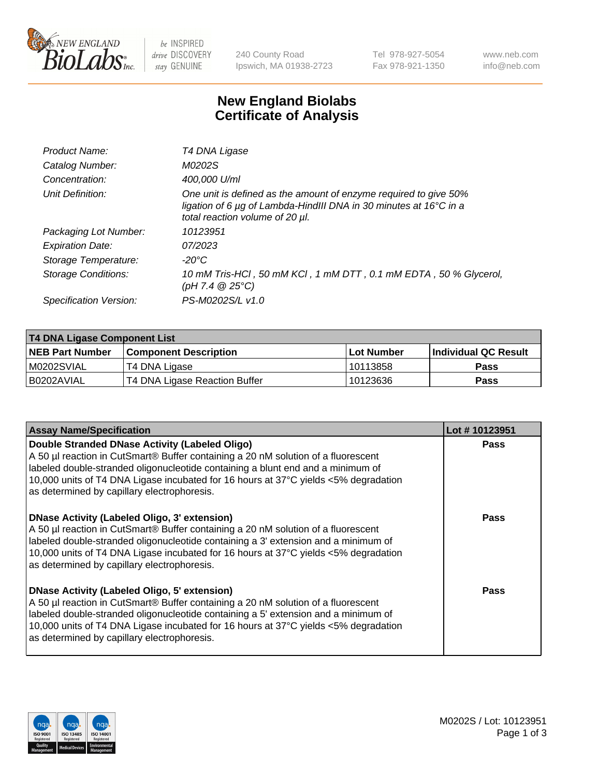

be INSPIRED drive DISCOVERY stay GENUINE

240 County Road Ipswich, MA 01938-2723 Tel 978-927-5054 Fax 978-921-1350 www.neb.com info@neb.com

## **New England Biolabs Certificate of Analysis**

| Product Name:           | T4 DNA Ligase                                                                                                                                                            |
|-------------------------|--------------------------------------------------------------------------------------------------------------------------------------------------------------------------|
| Catalog Number:         | M0202S                                                                                                                                                                   |
| Concentration:          | 400,000 U/ml                                                                                                                                                             |
| Unit Definition:        | One unit is defined as the amount of enzyme required to give 50%<br>ligation of 6 µg of Lambda-HindIII DNA in 30 minutes at 16°C in a<br>total reaction volume of 20 µl. |
| Packaging Lot Number:   | 10123951                                                                                                                                                                 |
| <b>Expiration Date:</b> | 07/2023                                                                                                                                                                  |
| Storage Temperature:    | $-20^{\circ}$ C                                                                                                                                                          |
| Storage Conditions:     | 10 mM Tris-HCl, 50 mM KCl, 1 mM DTT, 0.1 mM EDTA, 50 % Glycerol,<br>(pH 7.4 $@25°C$ )                                                                                    |
| Specification Version:  | PS-M0202S/L v1.0                                                                                                                                                         |

| T4 DNA Ligase Component List |                               |            |                             |  |
|------------------------------|-------------------------------|------------|-----------------------------|--|
| <b>NEB Part Number</b>       | <b>Component Description</b>  | Lot Number | <b>Individual QC Result</b> |  |
| M0202SVIAL                   | T4 DNA Ligase                 | 10113858   | Pass                        |  |
| I B0202AVIAL                 | T4 DNA Ligase Reaction Buffer | 10123636   | <b>Pass</b>                 |  |

| <b>Assay Name/Specification</b>                                                                                                                                                                                                                                                                                                                                      | Lot #10123951 |
|----------------------------------------------------------------------------------------------------------------------------------------------------------------------------------------------------------------------------------------------------------------------------------------------------------------------------------------------------------------------|---------------|
| Double Stranded DNase Activity (Labeled Oligo)<br>A 50 µl reaction in CutSmart® Buffer containing a 20 nM solution of a fluorescent<br>labeled double-stranded oligonucleotide containing a blunt end and a minimum of<br>10,000 units of T4 DNA Ligase incubated for 16 hours at 37°C yields <5% degradation<br>as determined by capillary electrophoresis.         | <b>Pass</b>   |
| DNase Activity (Labeled Oligo, 3' extension)<br>A 50 µl reaction in CutSmart® Buffer containing a 20 nM solution of a fluorescent<br>labeled double-stranded oligonucleotide containing a 3' extension and a minimum of<br>10,000 units of T4 DNA Ligase incubated for 16 hours at 37°C yields <5% degradation<br>as determined by capillary electrophoresis.        | Pass          |
| <b>DNase Activity (Labeled Oligo, 5' extension)</b><br>A 50 µl reaction in CutSmart® Buffer containing a 20 nM solution of a fluorescent<br>labeled double-stranded oligonucleotide containing a 5' extension and a minimum of<br>10,000 units of T4 DNA Ligase incubated for 16 hours at 37°C yields <5% degradation<br>as determined by capillary electrophoresis. | Pass          |

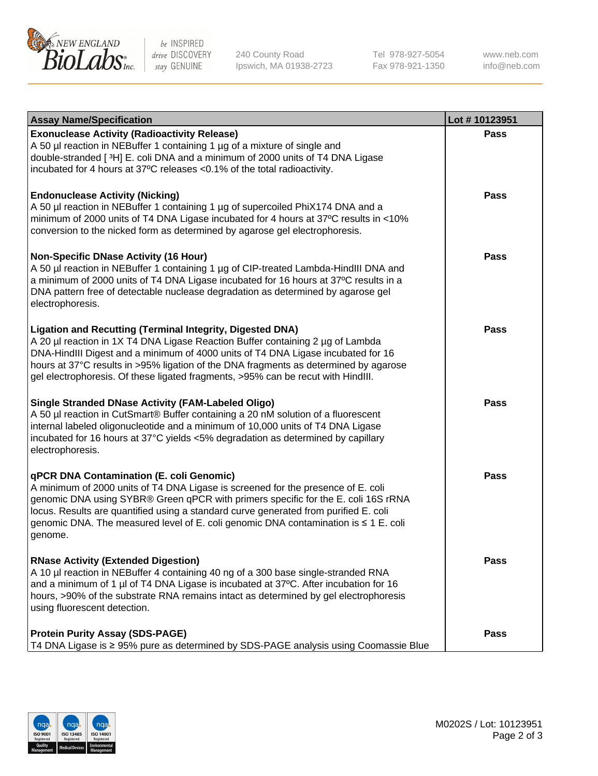

be INSPIRED drive DISCOVERY stay GENUINE

240 County Road Ipswich, MA 01938-2723 Tel 978-927-5054 Fax 978-921-1350

www.neb.com info@neb.com

| <b>Assay Name/Specification</b>                                                                                                                                                                                                                                                                                                                                                                                    | Lot #10123951 |
|--------------------------------------------------------------------------------------------------------------------------------------------------------------------------------------------------------------------------------------------------------------------------------------------------------------------------------------------------------------------------------------------------------------------|---------------|
| <b>Exonuclease Activity (Radioactivity Release)</b><br>A 50 µl reaction in NEBuffer 1 containing 1 µg of a mixture of single and<br>double-stranded [3H] E. coli DNA and a minimum of 2000 units of T4 DNA Ligase<br>incubated for 4 hours at 37°C releases <0.1% of the total radioactivity.                                                                                                                      | <b>Pass</b>   |
| <b>Endonuclease Activity (Nicking)</b><br>A 50 µl reaction in NEBuffer 1 containing 1 µg of supercoiled PhiX174 DNA and a<br>minimum of 2000 units of T4 DNA Ligase incubated for 4 hours at 37°C results in <10%<br>conversion to the nicked form as determined by agarose gel electrophoresis.                                                                                                                   | <b>Pass</b>   |
| <b>Non-Specific DNase Activity (16 Hour)</b><br>A 50 µl reaction in NEBuffer 1 containing 1 µg of CIP-treated Lambda-HindIII DNA and<br>a minimum of 2000 units of T4 DNA Ligase incubated for 16 hours at 37°C results in a<br>DNA pattern free of detectable nuclease degradation as determined by agarose gel<br>electrophoresis.                                                                               | Pass          |
| <b>Ligation and Recutting (Terminal Integrity, Digested DNA)</b><br>A 20 µl reaction in 1X T4 DNA Ligase Reaction Buffer containing 2 µg of Lambda<br>DNA-HindIII Digest and a minimum of 4000 units of T4 DNA Ligase incubated for 16<br>hours at 37°C results in >95% ligation of the DNA fragments as determined by agarose<br>gel electrophoresis. Of these ligated fragments, >95% can be recut with HindIII. | Pass          |
| <b>Single Stranded DNase Activity (FAM-Labeled Oligo)</b><br>A 50 µl reaction in CutSmart® Buffer containing a 20 nM solution of a fluorescent<br>internal labeled oligonucleotide and a minimum of 10,000 units of T4 DNA Ligase<br>incubated for 16 hours at 37°C yields <5% degradation as determined by capillary<br>electrophoresis.                                                                          | Pass          |
| qPCR DNA Contamination (E. coli Genomic)<br>A minimum of 2000 units of T4 DNA Ligase is screened for the presence of E. coli<br>genomic DNA using SYBR® Green qPCR with primers specific for the E. coli 16S rRNA<br>locus. Results are quantified using a standard curve generated from purified E. coli<br>genomic DNA. The measured level of E. coli genomic DNA contamination is ≤ 1 E. coli<br>genome.        | <b>Pass</b>   |
| <b>RNase Activity (Extended Digestion)</b><br>A 10 µl reaction in NEBuffer 4 containing 40 ng of a 300 base single-stranded RNA<br>and a minimum of 1 µl of T4 DNA Ligase is incubated at 37°C. After incubation for 16<br>hours, >90% of the substrate RNA remains intact as determined by gel electrophoresis<br>using fluorescent detection.                                                                    | <b>Pass</b>   |
| <b>Protein Purity Assay (SDS-PAGE)</b><br>T4 DNA Ligase is ≥ 95% pure as determined by SDS-PAGE analysis using Coomassie Blue                                                                                                                                                                                                                                                                                      | <b>Pass</b>   |